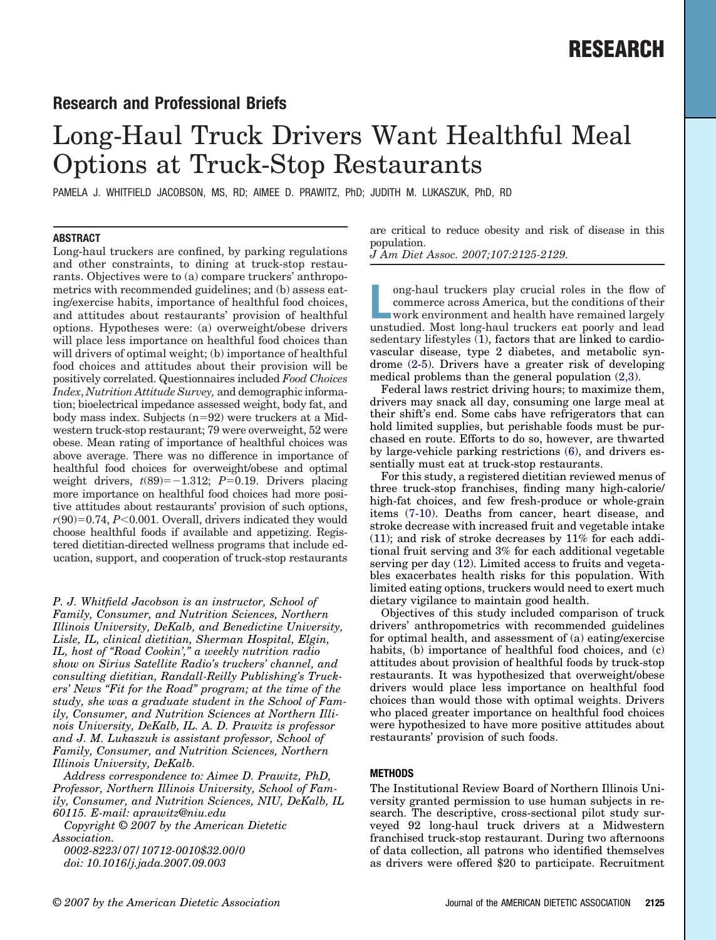## **Research and Professional Briefs**

# Long-Haul Truck Drivers Want Healthful Meal Options at Truck-Stop Restaurants

PAMELA J. WHITFIELD JACOBSON, MS, RD; AIMEE D. PRAWITZ, PhD; JUDITH M. LUKASZUK, PhD, RD

### **ABSTRACT**

Long-haul truckers are confined, by parking regulations and other constraints, to dining at truck-stop restaurants. Objectives were to (a) compare truckers' anthropometrics with recommended guidelines; and (b) assess eating/exercise habits, importance of healthful food choices, and attitudes about restaurants' provision of healthful options. Hypotheses were: (a) overweight/obese drivers will place less importance on healthful food choices than will drivers of optimal weight; (b) importance of healthful food choices and attitudes about their provision will be positively correlated. Questionnaires included *Food Choices Index*, *Nutrition Attitude Survey,* and demographic information; bioelectrical impedance assessed weight, body fat, and body mass index. Subjects  $(n=92)$  were truckers at a Midwestern truck-stop restaurant; 79 were overweight, 52 were obese. Mean rating of importance of healthful choices was above average. There was no difference in importance of healthful food choices for overweight/obese and optimal weight drivers,  $t(89) = -1.312$ ;  $P=0.19$ . Drivers placing more importance on healthful food choices had more positive attitudes about restaurants' provision of such options,  $r(90)=0.74$ ,  $P<0.001$ . Overall, drivers indicated they would choose healthful foods if available and appetizing. Registered dietitian-directed wellness programs that include education, support, and cooperation of truck-stop restaurants

*P. J. Whitfield Jacobson is an instructor, School of Family, Consumer, and Nutrition Sciences, Northern Illinois University, DeKalb, and Benedictine University, Lisle, IL, clinical dietitian, Sherman Hospital, Elgin, IL, host of "Road Cookin'," a weekly nutrition radio show on Sirius Satellite Radio's truckers' channel, and consulting dietitian, Randall-Reilly Publishing's Truckers' News "Fit for the Road" program; at the time of the study, she was a graduate student in the School of Family, Consumer, and Nutrition Sciences at Northern Illinois University, DeKalb, IL. A. D. Prawitz is professor and J. M. Lukaszuk is assistant professor, School of Family, Consumer, and Nutrition Sciences, Northern Illinois University, DeKalb.*

*Address correspondence to: Aimee D. Prawitz, PhD, Professor, Northern Illinois University, School of Family, Consumer, and Nutrition Sciences, NIU, DeKalb, IL 60115. E-mail: aprawitz@niu.edu*

*Copyright © 2007 by the American Dietetic Association.*

*0002-8223/07/10712-0010\$32.00/0 doi: 10.1016/j.jada.2007.09.003*

are critical to reduce obesity and risk of disease in this population.

*J Am Diet Assoc. 2007;107:2125-2129.*

ong-haul truckers play crucial roles in the flow of commerce across America, but the conditions of their work environment and health have remained largely unstudied. Most long-haul truckers eat poorly and lead ong-haul truckers play crucial roles in the flow of commerce across America, but the conditions of their work environment and health have remained largely sedentary lifestyles  $(1)$ , factors that are linked to cardiovascular disease, type 2 diabetes, and metabolic syndrome [\(2-5\)](#page-4-0). Drivers have a greater risk of developing medical problems than the general population [\(2,3\)](#page-4-0).

Federal laws restrict driving hours; to maximize them, drivers may snack all day, consuming one large meal at their shift's end. Some cabs have refrigerators that can hold limited supplies, but perishable foods must be purchased en route. Efforts to do so, however, are thwarted by large-vehicle parking restrictions [\(6\)](#page-4-0), and drivers essentially must eat at truck-stop restaurants.

For this study, a registered dietitian reviewed menus of three truck-stop franchises, finding many high-calorie/ high-fat choices, and few fresh-produce or whole-grain items [\(7-10\)](#page-4-0). Deaths from cancer, heart disease, and stroke decrease with increased fruit and vegetable intake [\(11\)](#page-4-0); and risk of stroke decreases by 11% for each additional fruit serving and 3% for each additional vegetable serving per day [\(12\)](#page-4-0). Limited access to fruits and vegetables exacerbates health risks for this population. With limited eating options, truckers would need to exert much dietary vigilance to maintain good health.

Objectives of this study included comparison of truck drivers' anthropometrics with recommended guidelines for optimal health, and assessment of (a) eating/exercise habits, (b) importance of healthful food choices, and (c) attitudes about provision of healthful foods by truck-stop restaurants. It was hypothesized that overweight/obese drivers would place less importance on healthful food choices than would those with optimal weights. Drivers who placed greater importance on healthful food choices were hypothesized to have more positive attitudes about restaurants' provision of such foods.

### **METHODS**

The Institutional Review Board of Northern Illinois University granted permission to use human subjects in research. The descriptive, cross-sectional pilot study surveyed 92 long-haul truck drivers at a Midwestern franchised truck-stop restaurant. During two afternoons of data collection, all patrons who identified themselves as drivers were offered \$20 to participate. Recruitment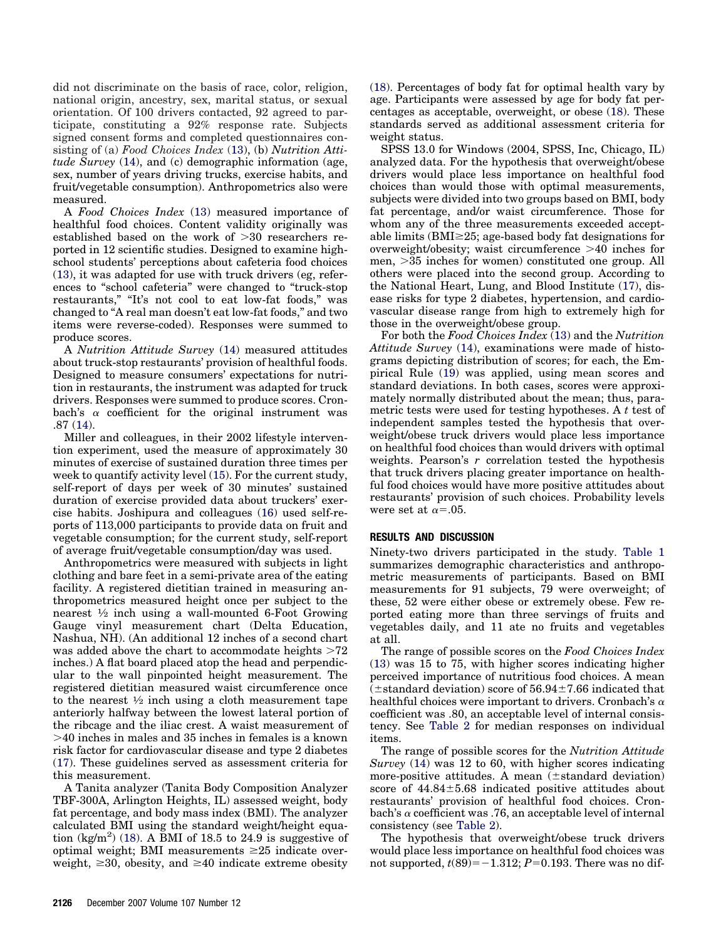did not discriminate on the basis of race, color, religion, national origin, ancestry, sex, marital status, or sexual orientation. Of 100 drivers contacted, 92 agreed to participate, constituting a 92% response rate. Subjects signed consent forms and completed questionnaires consisting of (a) *Food Choices Index* [\(13\)](#page-4-0), (b) *Nutrition Attitude Survey* [\(14\)](#page-4-0), and (c) demographic information (age, sex, number of years driving trucks, exercise habits, and fruit/vegetable consumption). Anthropometrics also were measured.

A *Food Choices Index* [\(13\)](#page-4-0) measured importance of healthful food choices. Content validity originally was established based on the work of  $>30$  researchers reported in 12 scientific studies. Designed to examine highschool students' perceptions about cafeteria food choices [\(13\)](#page-4-0), it was adapted for use with truck drivers (eg, references to "school cafeteria" were changed to "truck-stop restaurants," "It's not cool to eat low-fat foods," was changed to "A real man doesn't eat low-fat foods," and two items were reverse-coded). Responses were summed to produce scores.

A *Nutrition Attitude Survey* [\(14\)](#page-4-0) measured attitudes about truck-stop restaurants' provision of healthful foods. Designed to measure consumers' expectations for nutrition in restaurants, the instrument was adapted for truck drivers. Responses were summed to produce scores. Cronbach's  $\alpha$  coefficient for the original instrument was .87 [\(14\)](#page-4-0).

Miller and colleagues, in their 2002 lifestyle intervention experiment, used the measure of approximately 30 minutes of exercise of sustained duration three times per week to quantify activity level [\(15\)](#page-4-0). For the current study, self-report of days per week of 30 minutes' sustained duration of exercise provided data about truckers' exercise habits. Joshipura and colleagues [\(16\)](#page-4-0) used self-reports of 113,000 participants to provide data on fruit and vegetable consumption; for the current study, self-report of average fruit/vegetable consumption/day was used.

Anthropometrics were measured with subjects in light clothing and bare feet in a semi-private area of the eating facility. A registered dietitian trained in measuring anthropometrics measured height once per subject to the nearest  $\frac{1}{2}$  inch using a wall-mounted 6-Foot Growing Gauge vinyl measurement chart (Delta Education, Nashua, NH). (An additional 12 inches of a second chart was added above the chart to accommodate heights  $>72$ inches.) A flat board placed atop the head and perpendicular to the wall pinpointed height measurement. The registered dietitian measured waist circumference once to the nearest  $\frac{1}{2}$  inch using a cloth measurement tape anteriorly halfway between the lowest lateral portion of the ribcage and the iliac crest. A waist measurement of 40 inches in males and 35 inches in females is a known risk factor for cardiovascular disease and type 2 diabetes [\(17\)](#page-4-0). These guidelines served as assessment criteria for this measurement.

A Tanita analyzer (Tanita Body Composition Analyzer TBF-300A, Arlington Heights, IL) assessed weight, body fat percentage, and body mass index (BMI). The analyzer calculated BMI using the standard weight/height equa-tion (kg/m<sup>2</sup>) [\(18\)](#page-4-0). A BMI of 18.5 to 24.9 is suggestive of optimal weight; BMI measurements  $\geq 25$  indicate overweight,  $\geq$ 30, obesity, and  $\geq$ 40 indicate extreme obesity

[\(18\)](#page-4-0). Percentages of body fat for optimal health vary by age. Participants were assessed by age for body fat percentages as acceptable, overweight, or obese [\(18\)](#page-4-0). These standards served as additional assessment criteria for weight status.

SPSS 13.0 for Windows (2004, SPSS, Inc, Chicago, IL) analyzed data. For the hypothesis that overweight/obese drivers would place less importance on healthful food choices than would those with optimal measurements, subjects were divided into two groups based on BMI, body fat percentage, and/or waist circumference. Those for whom any of the three measurements exceeded acceptable limits ( $BMI \geq 25$ ; age-based body fat designations for overweight/obesity; waist circumference  $>40$  inches for men, 35 inches for women) constituted one group. All others were placed into the second group. According to the National Heart, Lung, and Blood Institute [\(17\)](#page-4-0), disease risks for type 2 diabetes, hypertension, and cardiovascular disease range from high to extremely high for those in the overweight/obese group.

For both the *Food Choices Index* [\(13\)](#page-4-0) and the *Nutrition Attitude Survey* [\(14\)](#page-4-0), examinations were made of histograms depicting distribution of scores; for each, the Empirical Rule [\(19\)](#page-4-0) was applied, using mean scores and standard deviations. In both cases, scores were approximately normally distributed about the mean; thus, parametric tests were used for testing hypotheses. A *t* test of independent samples tested the hypothesis that overweight/obese truck drivers would place less importance on healthful food choices than would drivers with optimal weights. Pearson's *r* correlation tested the hypothesis that truck drivers placing greater importance on healthful food choices would have more positive attitudes about restaurants' provision of such choices. Probability levels were set at  $\alpha$ =.05.

#### **RESULTS AND DISCUSSION**

Ninety-two drivers participated in the study. [Table 1](#page-2-0) summarizes demographic characteristics and anthropometric measurements of participants. Based on BMI measurements for 91 subjects, 79 were overweight; of these, 52 were either obese or extremely obese. Few reported eating more than three servings of fruits and vegetables daily, and 11 ate no fruits and vegetables at all.

The range of possible scores on the *Food Choices Index* [\(13\)](#page-4-0) was 15 to 75, with higher scores indicating higher perceived importance of nutritious food choices. A mean  $(\pm$ standard deviation) score of 56.94 $\pm$ 7.66 indicated that healthful choices were important to drivers. Cronbach's  $\alpha$ coefficient was .80, an acceptable level of internal consistency. See [Table 2](#page-3-0) for median responses on individual items.

The range of possible scores for the *Nutrition Attitude Survey* [\(14\)](#page-4-0) was 12 to 60, with higher scores indicating more-positive attitudes. A mean  $(\pm$ standard deviation) score of  $44.84 \pm 5.68$  indicated positive attitudes about restaurants' provision of healthful food choices. Cronbach's  $\alpha$  coefficient was .76, an acceptable level of internal consistency (see [Table 2\)](#page-3-0).

The hypothesis that overweight/obese truck drivers would place less importance on healthful food choices was not supported,  $t(89)$ = $-1.312; P$ =0.193. There was no dif-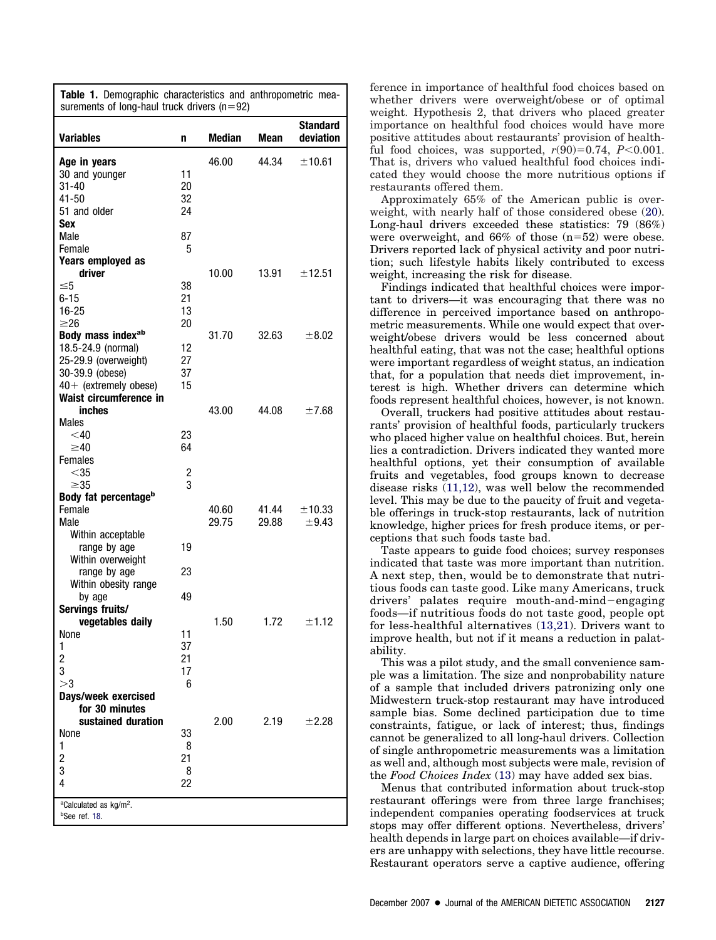<span id="page-2-0"></span>

| <b>Standard</b><br><b>Variables</b><br><b>Median</b><br>deviation<br>Mean<br>n<br>46.00<br>44.34<br>±10.61<br>Age in years<br>30 and younger<br>11<br>20<br>31-40<br>$41 - 50$<br>32<br>51 and older<br>24<br>Sex<br>Male<br>87<br>5<br>Female<br>Years employed as<br>driver<br>10.00<br>13.91<br>±12.51<br>$\leq 5$<br>38<br>$6 - 15$<br>21<br>$16 - 25$<br>13<br>$\geq 26$<br>20<br>Body mass indexab<br>31.70<br>32.63<br>±8.02<br>18.5-24.9 (normal)<br>12<br>25-29.9 (overweight)<br>27<br>30-39.9 (obese)<br>37<br>$40+$ (extremely obese)<br>15<br>Waist circumference in<br>inches<br>43.00<br>±7.68<br>44.08<br>Males<br>$<$ 40<br>23<br>64<br>$\geq 40$<br><b>Females</b><br>$<$ 35<br>$\frac{2}{3}$<br>$\geq 35$<br>Body fat percentage <sup>b</sup><br>Female<br>41.44<br>±10.33<br>40.60<br>±9.43<br>Male<br>29.75<br>29.88<br>Within acceptable<br>range by age<br>19<br>Within overweight<br>23<br>range by age<br>Within obesity range<br>49<br>by age<br>Servings fruits/<br>vegetables daily<br>1.50<br>±1.12<br>1.72<br>None<br>11<br>37<br>1<br>$\frac{2}{3}$<br>21<br>17<br>>3<br>6<br>Days/week exercised<br>for 30 minutes<br>sustained duration<br>2.00<br>2.19<br>±2.28<br>None<br>33<br>1<br>8<br>2<br>21<br>3<br>8<br>4<br>22<br><sup>a</sup> Calculated as kg/m <sup>2</sup> .<br><sup>b</sup> See ref. 18. | Table 1. Demographic characteristics and anthropometric mea-<br>surements of long-haul truck drivers ( $n=92$ ) |  |  |  |  |  |
|------------------------------------------------------------------------------------------------------------------------------------------------------------------------------------------------------------------------------------------------------------------------------------------------------------------------------------------------------------------------------------------------------------------------------------------------------------------------------------------------------------------------------------------------------------------------------------------------------------------------------------------------------------------------------------------------------------------------------------------------------------------------------------------------------------------------------------------------------------------------------------------------------------------------------------------------------------------------------------------------------------------------------------------------------------------------------------------------------------------------------------------------------------------------------------------------------------------------------------------------------------------------------------------------------------------------------------------|-----------------------------------------------------------------------------------------------------------------|--|--|--|--|--|
|                                                                                                                                                                                                                                                                                                                                                                                                                                                                                                                                                                                                                                                                                                                                                                                                                                                                                                                                                                                                                                                                                                                                                                                                                                                                                                                                          |                                                                                                                 |  |  |  |  |  |
|                                                                                                                                                                                                                                                                                                                                                                                                                                                                                                                                                                                                                                                                                                                                                                                                                                                                                                                                                                                                                                                                                                                                                                                                                                                                                                                                          |                                                                                                                 |  |  |  |  |  |
|                                                                                                                                                                                                                                                                                                                                                                                                                                                                                                                                                                                                                                                                                                                                                                                                                                                                                                                                                                                                                                                                                                                                                                                                                                                                                                                                          |                                                                                                                 |  |  |  |  |  |
|                                                                                                                                                                                                                                                                                                                                                                                                                                                                                                                                                                                                                                                                                                                                                                                                                                                                                                                                                                                                                                                                                                                                                                                                                                                                                                                                          |                                                                                                                 |  |  |  |  |  |
|                                                                                                                                                                                                                                                                                                                                                                                                                                                                                                                                                                                                                                                                                                                                                                                                                                                                                                                                                                                                                                                                                                                                                                                                                                                                                                                                          |                                                                                                                 |  |  |  |  |  |
|                                                                                                                                                                                                                                                                                                                                                                                                                                                                                                                                                                                                                                                                                                                                                                                                                                                                                                                                                                                                                                                                                                                                                                                                                                                                                                                                          |                                                                                                                 |  |  |  |  |  |
|                                                                                                                                                                                                                                                                                                                                                                                                                                                                                                                                                                                                                                                                                                                                                                                                                                                                                                                                                                                                                                                                                                                                                                                                                                                                                                                                          |                                                                                                                 |  |  |  |  |  |
|                                                                                                                                                                                                                                                                                                                                                                                                                                                                                                                                                                                                                                                                                                                                                                                                                                                                                                                                                                                                                                                                                                                                                                                                                                                                                                                                          |                                                                                                                 |  |  |  |  |  |
|                                                                                                                                                                                                                                                                                                                                                                                                                                                                                                                                                                                                                                                                                                                                                                                                                                                                                                                                                                                                                                                                                                                                                                                                                                                                                                                                          |                                                                                                                 |  |  |  |  |  |
|                                                                                                                                                                                                                                                                                                                                                                                                                                                                                                                                                                                                                                                                                                                                                                                                                                                                                                                                                                                                                                                                                                                                                                                                                                                                                                                                          |                                                                                                                 |  |  |  |  |  |
|                                                                                                                                                                                                                                                                                                                                                                                                                                                                                                                                                                                                                                                                                                                                                                                                                                                                                                                                                                                                                                                                                                                                                                                                                                                                                                                                          |                                                                                                                 |  |  |  |  |  |
|                                                                                                                                                                                                                                                                                                                                                                                                                                                                                                                                                                                                                                                                                                                                                                                                                                                                                                                                                                                                                                                                                                                                                                                                                                                                                                                                          |                                                                                                                 |  |  |  |  |  |
|                                                                                                                                                                                                                                                                                                                                                                                                                                                                                                                                                                                                                                                                                                                                                                                                                                                                                                                                                                                                                                                                                                                                                                                                                                                                                                                                          |                                                                                                                 |  |  |  |  |  |
|                                                                                                                                                                                                                                                                                                                                                                                                                                                                                                                                                                                                                                                                                                                                                                                                                                                                                                                                                                                                                                                                                                                                                                                                                                                                                                                                          |                                                                                                                 |  |  |  |  |  |
|                                                                                                                                                                                                                                                                                                                                                                                                                                                                                                                                                                                                                                                                                                                                                                                                                                                                                                                                                                                                                                                                                                                                                                                                                                                                                                                                          |                                                                                                                 |  |  |  |  |  |
|                                                                                                                                                                                                                                                                                                                                                                                                                                                                                                                                                                                                                                                                                                                                                                                                                                                                                                                                                                                                                                                                                                                                                                                                                                                                                                                                          |                                                                                                                 |  |  |  |  |  |
|                                                                                                                                                                                                                                                                                                                                                                                                                                                                                                                                                                                                                                                                                                                                                                                                                                                                                                                                                                                                                                                                                                                                                                                                                                                                                                                                          |                                                                                                                 |  |  |  |  |  |
|                                                                                                                                                                                                                                                                                                                                                                                                                                                                                                                                                                                                                                                                                                                                                                                                                                                                                                                                                                                                                                                                                                                                                                                                                                                                                                                                          |                                                                                                                 |  |  |  |  |  |
|                                                                                                                                                                                                                                                                                                                                                                                                                                                                                                                                                                                                                                                                                                                                                                                                                                                                                                                                                                                                                                                                                                                                                                                                                                                                                                                                          |                                                                                                                 |  |  |  |  |  |
|                                                                                                                                                                                                                                                                                                                                                                                                                                                                                                                                                                                                                                                                                                                                                                                                                                                                                                                                                                                                                                                                                                                                                                                                                                                                                                                                          |                                                                                                                 |  |  |  |  |  |
|                                                                                                                                                                                                                                                                                                                                                                                                                                                                                                                                                                                                                                                                                                                                                                                                                                                                                                                                                                                                                                                                                                                                                                                                                                                                                                                                          |                                                                                                                 |  |  |  |  |  |
|                                                                                                                                                                                                                                                                                                                                                                                                                                                                                                                                                                                                                                                                                                                                                                                                                                                                                                                                                                                                                                                                                                                                                                                                                                                                                                                                          |                                                                                                                 |  |  |  |  |  |
|                                                                                                                                                                                                                                                                                                                                                                                                                                                                                                                                                                                                                                                                                                                                                                                                                                                                                                                                                                                                                                                                                                                                                                                                                                                                                                                                          |                                                                                                                 |  |  |  |  |  |
|                                                                                                                                                                                                                                                                                                                                                                                                                                                                                                                                                                                                                                                                                                                                                                                                                                                                                                                                                                                                                                                                                                                                                                                                                                                                                                                                          |                                                                                                                 |  |  |  |  |  |
|                                                                                                                                                                                                                                                                                                                                                                                                                                                                                                                                                                                                                                                                                                                                                                                                                                                                                                                                                                                                                                                                                                                                                                                                                                                                                                                                          |                                                                                                                 |  |  |  |  |  |
|                                                                                                                                                                                                                                                                                                                                                                                                                                                                                                                                                                                                                                                                                                                                                                                                                                                                                                                                                                                                                                                                                                                                                                                                                                                                                                                                          |                                                                                                                 |  |  |  |  |  |
|                                                                                                                                                                                                                                                                                                                                                                                                                                                                                                                                                                                                                                                                                                                                                                                                                                                                                                                                                                                                                                                                                                                                                                                                                                                                                                                                          |                                                                                                                 |  |  |  |  |  |
|                                                                                                                                                                                                                                                                                                                                                                                                                                                                                                                                                                                                                                                                                                                                                                                                                                                                                                                                                                                                                                                                                                                                                                                                                                                                                                                                          |                                                                                                                 |  |  |  |  |  |
|                                                                                                                                                                                                                                                                                                                                                                                                                                                                                                                                                                                                                                                                                                                                                                                                                                                                                                                                                                                                                                                                                                                                                                                                                                                                                                                                          |                                                                                                                 |  |  |  |  |  |
|                                                                                                                                                                                                                                                                                                                                                                                                                                                                                                                                                                                                                                                                                                                                                                                                                                                                                                                                                                                                                                                                                                                                                                                                                                                                                                                                          |                                                                                                                 |  |  |  |  |  |
|                                                                                                                                                                                                                                                                                                                                                                                                                                                                                                                                                                                                                                                                                                                                                                                                                                                                                                                                                                                                                                                                                                                                                                                                                                                                                                                                          |                                                                                                                 |  |  |  |  |  |
|                                                                                                                                                                                                                                                                                                                                                                                                                                                                                                                                                                                                                                                                                                                                                                                                                                                                                                                                                                                                                                                                                                                                                                                                                                                                                                                                          |                                                                                                                 |  |  |  |  |  |
|                                                                                                                                                                                                                                                                                                                                                                                                                                                                                                                                                                                                                                                                                                                                                                                                                                                                                                                                                                                                                                                                                                                                                                                                                                                                                                                                          |                                                                                                                 |  |  |  |  |  |
|                                                                                                                                                                                                                                                                                                                                                                                                                                                                                                                                                                                                                                                                                                                                                                                                                                                                                                                                                                                                                                                                                                                                                                                                                                                                                                                                          |                                                                                                                 |  |  |  |  |  |
|                                                                                                                                                                                                                                                                                                                                                                                                                                                                                                                                                                                                                                                                                                                                                                                                                                                                                                                                                                                                                                                                                                                                                                                                                                                                                                                                          |                                                                                                                 |  |  |  |  |  |
|                                                                                                                                                                                                                                                                                                                                                                                                                                                                                                                                                                                                                                                                                                                                                                                                                                                                                                                                                                                                                                                                                                                                                                                                                                                                                                                                          |                                                                                                                 |  |  |  |  |  |
|                                                                                                                                                                                                                                                                                                                                                                                                                                                                                                                                                                                                                                                                                                                                                                                                                                                                                                                                                                                                                                                                                                                                                                                                                                                                                                                                          |                                                                                                                 |  |  |  |  |  |
|                                                                                                                                                                                                                                                                                                                                                                                                                                                                                                                                                                                                                                                                                                                                                                                                                                                                                                                                                                                                                                                                                                                                                                                                                                                                                                                                          |                                                                                                                 |  |  |  |  |  |
|                                                                                                                                                                                                                                                                                                                                                                                                                                                                                                                                                                                                                                                                                                                                                                                                                                                                                                                                                                                                                                                                                                                                                                                                                                                                                                                                          |                                                                                                                 |  |  |  |  |  |
|                                                                                                                                                                                                                                                                                                                                                                                                                                                                                                                                                                                                                                                                                                                                                                                                                                                                                                                                                                                                                                                                                                                                                                                                                                                                                                                                          |                                                                                                                 |  |  |  |  |  |
|                                                                                                                                                                                                                                                                                                                                                                                                                                                                                                                                                                                                                                                                                                                                                                                                                                                                                                                                                                                                                                                                                                                                                                                                                                                                                                                                          |                                                                                                                 |  |  |  |  |  |
|                                                                                                                                                                                                                                                                                                                                                                                                                                                                                                                                                                                                                                                                                                                                                                                                                                                                                                                                                                                                                                                                                                                                                                                                                                                                                                                                          |                                                                                                                 |  |  |  |  |  |
|                                                                                                                                                                                                                                                                                                                                                                                                                                                                                                                                                                                                                                                                                                                                                                                                                                                                                                                                                                                                                                                                                                                                                                                                                                                                                                                                          |                                                                                                                 |  |  |  |  |  |
|                                                                                                                                                                                                                                                                                                                                                                                                                                                                                                                                                                                                                                                                                                                                                                                                                                                                                                                                                                                                                                                                                                                                                                                                                                                                                                                                          |                                                                                                                 |  |  |  |  |  |
|                                                                                                                                                                                                                                                                                                                                                                                                                                                                                                                                                                                                                                                                                                                                                                                                                                                                                                                                                                                                                                                                                                                                                                                                                                                                                                                                          |                                                                                                                 |  |  |  |  |  |
|                                                                                                                                                                                                                                                                                                                                                                                                                                                                                                                                                                                                                                                                                                                                                                                                                                                                                                                                                                                                                                                                                                                                                                                                                                                                                                                                          |                                                                                                                 |  |  |  |  |  |
|                                                                                                                                                                                                                                                                                                                                                                                                                                                                                                                                                                                                                                                                                                                                                                                                                                                                                                                                                                                                                                                                                                                                                                                                                                                                                                                                          |                                                                                                                 |  |  |  |  |  |
|                                                                                                                                                                                                                                                                                                                                                                                                                                                                                                                                                                                                                                                                                                                                                                                                                                                                                                                                                                                                                                                                                                                                                                                                                                                                                                                                          |                                                                                                                 |  |  |  |  |  |
|                                                                                                                                                                                                                                                                                                                                                                                                                                                                                                                                                                                                                                                                                                                                                                                                                                                                                                                                                                                                                                                                                                                                                                                                                                                                                                                                          |                                                                                                                 |  |  |  |  |  |
|                                                                                                                                                                                                                                                                                                                                                                                                                                                                                                                                                                                                                                                                                                                                                                                                                                                                                                                                                                                                                                                                                                                                                                                                                                                                                                                                          |                                                                                                                 |  |  |  |  |  |
|                                                                                                                                                                                                                                                                                                                                                                                                                                                                                                                                                                                                                                                                                                                                                                                                                                                                                                                                                                                                                                                                                                                                                                                                                                                                                                                                          |                                                                                                                 |  |  |  |  |  |

ference in importance of healthful food choices based on whether drivers were overweight/obese or of optimal weight. Hypothesis 2, that drivers who placed greater importance on healthful food choices would have more positive attitudes about restaurants' provision of healthful food choices, was supported,  $r(90)=0.74$ ,  $P<0.001$ . That is, drivers who valued healthful food choices indicated they would choose the more nutritious options if restaurants offered them.

Approximately 65% of the American public is overweight, with nearly half of those considered obese [\(20\)](#page-4-0). Long-haul drivers exceeded these statistics: 79 (86%) were overweight, and  $66\%$  of those  $(n=52)$  were obese. Drivers reported lack of physical activity and poor nutrition; such lifestyle habits likely contributed to excess weight, increasing the risk for disease.

Findings indicated that healthful choices were important to drivers—it was encouraging that there was no difference in perceived importance based on anthropometric measurements. While one would expect that overweight/obese drivers would be less concerned about healthful eating, that was not the case; healthful options were important regardless of weight status, an indication that, for a population that needs diet improvement, interest is high. Whether drivers can determine which foods represent healthful choices, however, is not known.

Overall, truckers had positive attitudes about restaurants' provision of healthful foods, particularly truckers who placed higher value on healthful choices. But, herein lies a contradiction. Drivers indicated they wanted more healthful options, yet their consumption of available fruits and vegetables, food groups known to decrease disease risks [\(11,12\)](#page-4-0), was well below the recommended level. This may be due to the paucity of fruit and vegetable offerings in truck-stop restaurants, lack of nutrition knowledge, higher prices for fresh produce items, or perceptions that such foods taste bad.

Taste appears to guide food choices; survey responses indicated that taste was more important than nutrition. A next step, then, would be to demonstrate that nutritious foods can taste good. Like many Americans, truck drivers' palates require mouth-and-mind-engaging foods—if nutritious foods do not taste good, people opt for less-healthful alternatives [\(13,21\)](#page-4-0). Drivers want to improve health, but not if it means a reduction in palatability.

This was a pilot study, and the small convenience sample was a limitation. The size and nonprobability nature of a sample that included drivers patronizing only one Midwestern truck-stop restaurant may have introduced sample bias. Some declined participation due to time constraints, fatigue, or lack of interest; thus, findings cannot be generalized to all long-haul drivers. Collection of single anthropometric measurements was a limitation as well and, although most subjects were male, revision of the *Food Choices Index* [\(13\)](#page-4-0) may have added sex bias.

Menus that contributed information about truck-stop restaurant offerings were from three large franchises; independent companies operating foodservices at truck stops may offer different options. Nevertheless, drivers' health depends in large part on choices available—if drivers are unhappy with selections, they have little recourse. Restaurant operators serve a captive audience, offering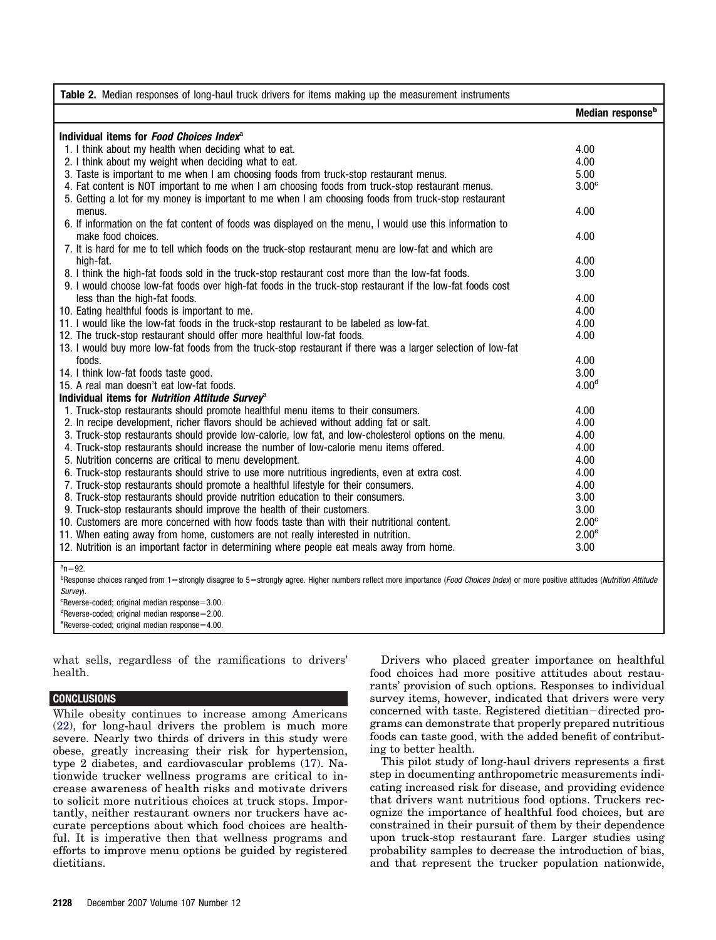<span id="page-3-0"></span>

| Table 2. Median responses of long-haul truck drivers for items making up the measurement instruments                                                                                                                      |                              |
|---------------------------------------------------------------------------------------------------------------------------------------------------------------------------------------------------------------------------|------------------------------|
|                                                                                                                                                                                                                           | Median response <sup>b</sup> |
| Individual items for <i>Food Choices Index</i> <sup>3</sup>                                                                                                                                                               |                              |
| 1. I think about my health when deciding what to eat.                                                                                                                                                                     | 4.00                         |
| 2. I think about my weight when deciding what to eat.                                                                                                                                                                     | 4.00                         |
| 3. Taste is important to me when I am choosing foods from truck-stop restaurant menus.                                                                                                                                    | 5.00                         |
| 4. Fat content is NOT important to me when I am choosing foods from truck-stop restaurant menus.                                                                                                                          | 3.00 <sup>c</sup>            |
| 5. Getting a lot for my money is important to me when I am choosing foods from truck-stop restaurant                                                                                                                      |                              |
| menus.                                                                                                                                                                                                                    | 4.00                         |
| 6. If information on the fat content of foods was displayed on the menu, I would use this information to                                                                                                                  |                              |
| make food choices.                                                                                                                                                                                                        | 4.00                         |
| 7. It is hard for me to tell which foods on the truck-stop restaurant menu are low-fat and which are                                                                                                                      |                              |
| high-fat.                                                                                                                                                                                                                 | 4.00                         |
| 8. I think the high-fat foods sold in the truck-stop restaurant cost more than the low-fat foods.                                                                                                                         | 3.00                         |
| 9. I would choose low-fat foods over high-fat foods in the truck-stop restaurant if the low-fat foods cost                                                                                                                |                              |
| less than the high-fat foods.                                                                                                                                                                                             | 4.00                         |
| 10. Eating healthful foods is important to me.                                                                                                                                                                            | 4.00                         |
| 11. I would like the low-fat foods in the truck-stop restaurant to be labeled as low-fat.                                                                                                                                 | 4.00                         |
| 12. The truck-stop restaurant should offer more healthful low-fat foods.                                                                                                                                                  | 4.00                         |
| 13. I would buy more low-fat foods from the truck-stop restaurant if there was a larger selection of low-fat                                                                                                              |                              |
| foods.                                                                                                                                                                                                                    | 4.00                         |
| 14. I think low-fat foods taste good.                                                                                                                                                                                     | 3.00                         |
| 15. A real man doesn't eat low-fat foods.                                                                                                                                                                                 | 4.00 <sup>d</sup>            |
| Individual items for <i>Nutrition Attitude Survey</i> <sup>2</sup>                                                                                                                                                        |                              |
| 1. Truck-stop restaurants should promote healthful menu items to their consumers.                                                                                                                                         | 4.00                         |
| 2. In recipe development, richer flavors should be achieved without adding fat or salt.                                                                                                                                   | 4.00                         |
| 3. Truck-stop restaurants should provide low-calorie, low fat, and low-cholesterol options on the menu.                                                                                                                   | 4.00                         |
| 4. Truck-stop restaurants should increase the number of low-calorie menu items offered.                                                                                                                                   | 4.00                         |
| 5. Nutrition concerns are critical to menu development.                                                                                                                                                                   | 4.00                         |
| 6. Truck-stop restaurants should strive to use more nutritious ingredients, even at extra cost.                                                                                                                           | 4.00                         |
| 7. Truck-stop restaurants should promote a healthful lifestyle for their consumers.                                                                                                                                       | 4.00                         |
| 8. Truck-stop restaurants should provide nutrition education to their consumers.                                                                                                                                          | 3.00                         |
| 9. Truck-stop restaurants should improve the health of their customers.                                                                                                                                                   | 3.00                         |
| 10. Customers are more concerned with how foods taste than with their nutritional content.                                                                                                                                | 2.00 <sup>c</sup>            |
| 11. When eating away from home, customers are not really interested in nutrition.                                                                                                                                         | 2.00 <sup>e</sup>            |
| 12. Nutrition is an important factor in determining where people eat meals away from home.                                                                                                                                | 3.00                         |
| $a_n = 92$ .<br><sup>b</sup> Response choices ranged from 1=strongly disagree to 5=strongly agree. Higher numbers reflect more importance (Food Choices Index) or more positive attitudes (Nutrition Attitude<br>Survey). |                              |

 $c$ Reverse-coded; original median response =  $3.00$ .  $d$ Reverse-coded; original median response= $2.00$ .  $e$ Reverse-coded; original median response $=4.00$ .

what sells, regardless of the ramifications to drivers' health.

#### **CONCLUSIONS**

While obesity continues to increase among Americans [\(22\)](#page-4-0), for long-haul drivers the problem is much more severe. Nearly two thirds of drivers in this study were obese, greatly increasing their risk for hypertension, type 2 diabetes, and cardiovascular problems [\(17\)](#page-4-0). Nationwide trucker wellness programs are critical to increase awareness of health risks and motivate drivers to solicit more nutritious choices at truck stops. Importantly, neither restaurant owners nor truckers have accurate perceptions about which food choices are healthful. It is imperative then that wellness programs and efforts to improve menu options be guided by registered dietitians.

Drivers who placed greater importance on healthful food choices had more positive attitudes about restaurants' provision of such options. Responses to individual survey items, however, indicated that drivers were very concerned with taste. Registered dietitian-directed programs can demonstrate that properly prepared nutritious foods can taste good, with the added benefit of contributing to better health.

This pilot study of long-haul drivers represents a first step in documenting anthropometric measurements indicating increased risk for disease, and providing evidence that drivers want nutritious food options. Truckers recognize the importance of healthful food choices, but are constrained in their pursuit of them by their dependence upon truck-stop restaurant fare. Larger studies using probability samples to decrease the introduction of bias, and that represent the trucker population nationwide,